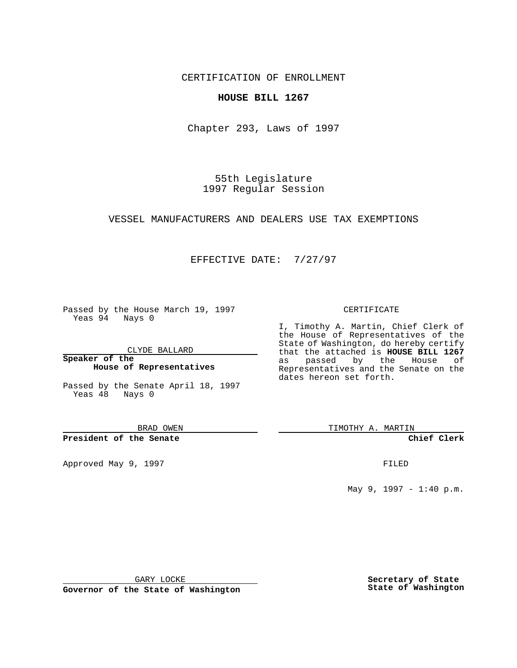CERTIFICATION OF ENROLLMENT

## **HOUSE BILL 1267**

Chapter 293, Laws of 1997

55th Legislature 1997 Regular Session

VESSEL MANUFACTURERS AND DEALERS USE TAX EXEMPTIONS

## EFFECTIVE DATE: 7/27/97

Passed by the House March 19, 1997 Yeas 94 Nays 0

CLYDE BALLARD

**Speaker of the House of Representatives**

Passed by the Senate April 18, 1997 Yeas 48 Nays 0

BRAD OWEN

**President of the Senate**

Approved May 9, 1997 **FILED** 

## CERTIFICATE

I, Timothy A. Martin, Chief Clerk of the House of Representatives of the State of Washington, do hereby certify that the attached is **HOUSE BILL 1267** as passed by the House of Representatives and the Senate on the dates hereon set forth.

TIMOTHY A. MARTIN

**Chief Clerk**

May 9, 1997 - 1:40 p.m.

GARY LOCKE

**Governor of the State of Washington**

**Secretary of State State of Washington**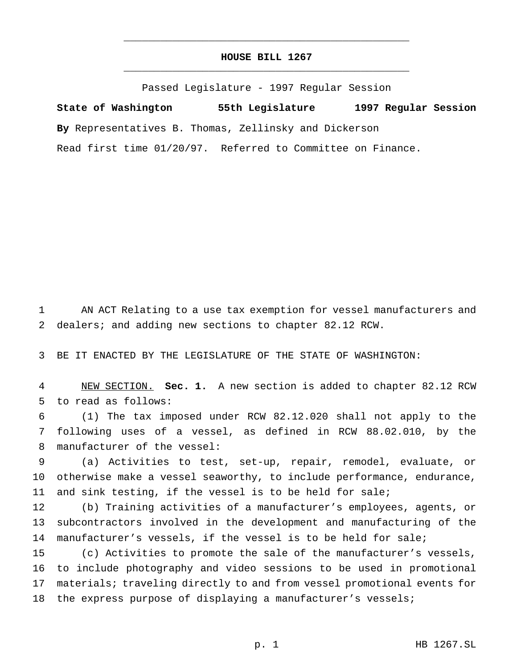## **HOUSE BILL 1267** \_\_\_\_\_\_\_\_\_\_\_\_\_\_\_\_\_\_\_\_\_\_\_\_\_\_\_\_\_\_\_\_\_\_\_\_\_\_\_\_\_\_\_\_\_\_\_

\_\_\_\_\_\_\_\_\_\_\_\_\_\_\_\_\_\_\_\_\_\_\_\_\_\_\_\_\_\_\_\_\_\_\_\_\_\_\_\_\_\_\_\_\_\_\_

Passed Legislature - 1997 Regular Session

**State of Washington 55th Legislature 1997 Regular Session By** Representatives B. Thomas, Zellinsky and Dickerson Read first time 01/20/97. Referred to Committee on Finance.

 AN ACT Relating to a use tax exemption for vessel manufacturers and dealers; and adding new sections to chapter 82.12 RCW.

BE IT ENACTED BY THE LEGISLATURE OF THE STATE OF WASHINGTON:

 NEW SECTION. **Sec. 1.** A new section is added to chapter 82.12 RCW to read as follows:

 (1) The tax imposed under RCW 82.12.020 shall not apply to the following uses of a vessel, as defined in RCW 88.02.010, by the manufacturer of the vessel:

 (a) Activities to test, set-up, repair, remodel, evaluate, or otherwise make a vessel seaworthy, to include performance, endurance, and sink testing, if the vessel is to be held for sale;

 (b) Training activities of a manufacturer's employees, agents, or subcontractors involved in the development and manufacturing of the manufacturer's vessels, if the vessel is to be held for sale;

 (c) Activities to promote the sale of the manufacturer's vessels, to include photography and video sessions to be used in promotional materials; traveling directly to and from vessel promotional events for 18 the express purpose of displaying a manufacturer's vessels;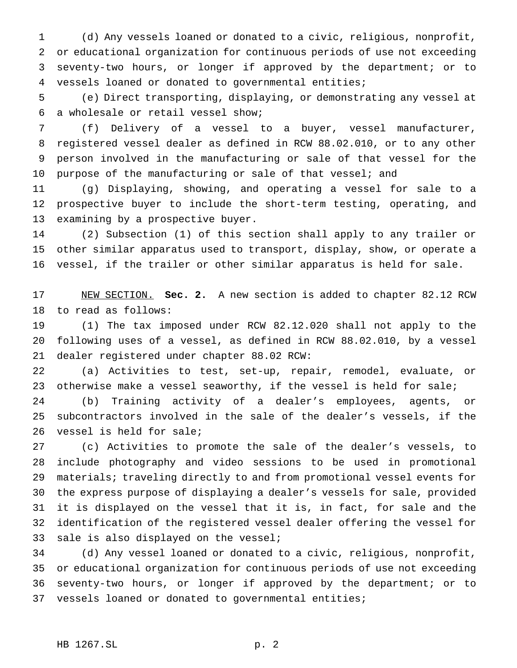(d) Any vessels loaned or donated to a civic, religious, nonprofit, or educational organization for continuous periods of use not exceeding seventy-two hours, or longer if approved by the department; or to vessels loaned or donated to governmental entities;

 (e) Direct transporting, displaying, or demonstrating any vessel at a wholesale or retail vessel show;

 (f) Delivery of a vessel to a buyer, vessel manufacturer, registered vessel dealer as defined in RCW 88.02.010, or to any other person involved in the manufacturing or sale of that vessel for the 10 purpose of the manufacturing or sale of that vessel; and

 (g) Displaying, showing, and operating a vessel for sale to a prospective buyer to include the short-term testing, operating, and examining by a prospective buyer.

 (2) Subsection (1) of this section shall apply to any trailer or other similar apparatus used to transport, display, show, or operate a vessel, if the trailer or other similar apparatus is held for sale.

 NEW SECTION. **Sec. 2.** A new section is added to chapter 82.12 RCW to read as follows:

 (1) The tax imposed under RCW 82.12.020 shall not apply to the following uses of a vessel, as defined in RCW 88.02.010, by a vessel dealer registered under chapter 88.02 RCW:

 (a) Activities to test, set-up, repair, remodel, evaluate, or otherwise make a vessel seaworthy, if the vessel is held for sale;

 (b) Training activity of a dealer's employees, agents, or subcontractors involved in the sale of the dealer's vessels, if the vessel is held for sale;

 (c) Activities to promote the sale of the dealer's vessels, to include photography and video sessions to be used in promotional materials; traveling directly to and from promotional vessel events for the express purpose of displaying a dealer's vessels for sale, provided it is displayed on the vessel that it is, in fact, for sale and the identification of the registered vessel dealer offering the vessel for 33 sale is also displayed on the vessel;

 (d) Any vessel loaned or donated to a civic, religious, nonprofit, or educational organization for continuous periods of use not exceeding seventy-two hours, or longer if approved by the department; or to vessels loaned or donated to governmental entities;